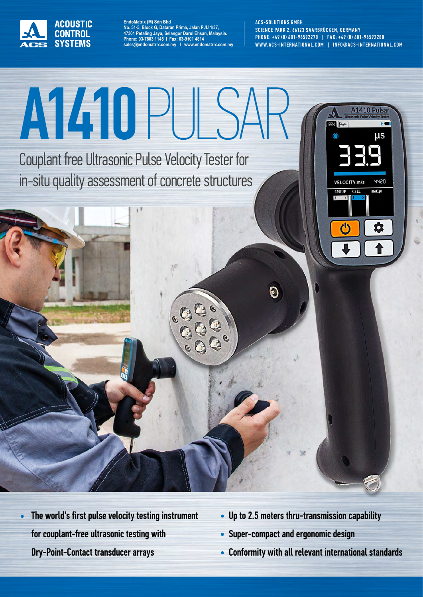

**EndoMatrix (M) Sdn Bhd No. 51-5, Block G, Dataran Prima, Jalan PJU 1/37, 47301 Petaling Jaya, Selangor Darul Ehsan, Malaysia. Phone: 03-7803 1145 I Fax: 03-9101 4814 sales@endomatrix.com.my I www.endomatrix.com.my** ACS-SOLUTIONS GMBH SCIENCE PARK 2, 66123 SAARBRÜCKEN, GERMANY PHONE: +49 (0) 681-96592270 | FAX: +49 (0) 681-96592280 WWW.ACS-INTERNATIONAL.COM | INFO@ACS-INTERNATIONAL.COM



- The world's first pulse velocity testing instrument for couplant-free ultrasonic testing with Dry-Point-Contact transducer arrays •
- Up to 2.5 meters thru-transmission capability
- Super-compact and ergonomic design
- Conformity with all relevant international standards